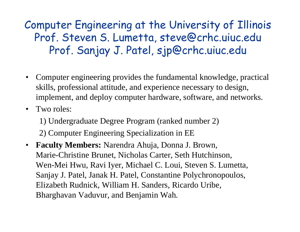Computer Engineering at the University of Illinois Prof. Steven S. Lumetta, steve@crhc.uiuc.edu Prof. Sanjay J. Patel, sjp@crhc.uiuc.edu

- $\bullet$  Computer engineering provides the fundamental knowledge, practical skills, professional attitude, and experience necessary to design, implement, and deploy computer hardware, software, and networks.
- Two roles:

1) Undergraduate Degree Program (ranked number 2) 2) Computer Engineering Specialization in EE

 $\bullet$  **Faculty Members:** Narendra Ahuja, Donna J. Brown, Marie-Christine Brunet, Nicholas Carter, Seth Hutchinson, Wen-Mei Hwu, Ravi Iyer, Michael C. Loui, Steven S. Lumetta, Sanjay J. Patel, Janak H. Patel, Constantine Polychronopoulos, Elizabeth Rudnick, William H. Sanders, Ricardo Uribe, Bharghavan Vaduvur, and Benjamin Wah.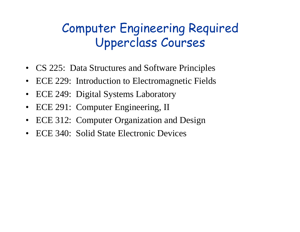# Computer Engineering Required Upperclass Courses

- CS 225: Data Structures and Software Principles
- •ECE 229: Introduction to Electromagnetic Fields
- •ECE 249: Digital Systems Laboratory
- $\bullet$ ECE 291: Computer Engineering, II
- $\bullet$ ECE 312: Computer Organization and Design
- $\bullet$ ECE 340: Solid State Electronic Devices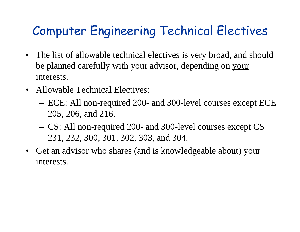# Computer Engineering Technical Electives

- The list of allowable technical electives is very broad, and should be planned carefully with your advisor, depending on your interests.
- Allowable Technical Electives:
	- ECE: All non-required 200- and 300-level courses except ECE 205, 206, and 216.
	- CS: All non-required 200- and 300-level courses except CS 231, 232, 300, 301, 302, 303, and 304.
- Get an advisor who shares (and is knowledgeable about) your interests.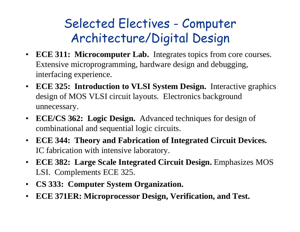# Selected Electives - Computer Architecture/Digital Design

- **ECE 311: Microcomputer Lab.** Integrates topics from core courses. Extensive microprogramming, hardware design and debugging, interfacing experience.
- **ECE 325: Introduction to VLSI System Design.** Interactive graphics design of MOS VLSI circuit layouts. Electronics background unnecessary.
- $\bullet$  **ECE/CS 362: Logic Design.** Advanced techniques for design of combinational and sequential logic circuits.
- **ECE 344: Theory and Fabrication of Integrated Circuit Devices.** IC fabrication with intensive laboratory.
- **ECE 382: Large Scale Integrated Circuit Design.** Emphasizes MOS LSI. Complements ECE 325.
- **CS 333: Computer System Organization.**
- $\bullet$ **ECE 371ER: Microprocessor Design, Verification, and Test.**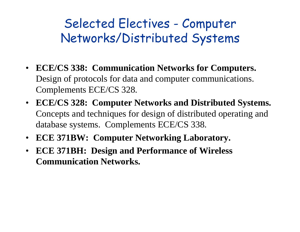#### Selected Electives - Computer Networks/Distributed Systems

- **ECE/CS 338: Communication Networks for Computers.** Design of protocols for data and computer communications. Complements ECE/CS 328.
- **ECE/CS 328: Computer Networks and Distributed Systems.** Concepts and techniques for design of distributed operating and database systems. Complements ECE/CS 338.
- **ECE 371BW: Computer Networking Laboratory.**
- **ECE 371BH: Design and Performance of Wireless Communication Networks.**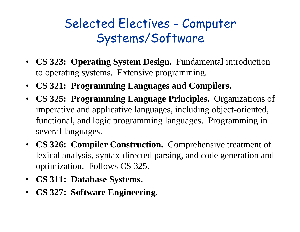## Selected Electives - Computer Systems/Software

- **CS 323: Operating System Design.** Fundamental introduction to operating systems. Extensive programming.
- **CS 321: Programming Languages and Compilers.**
- **CS 325: Programming Language Principles.** Organizations of imperative and applicative languages, including object-oriented, functional, and logic programming languages. Programming in several languages.
- **CS 326: Compiler Construction.** Comprehensive treatment of lexical analysis, syntax-directed parsing, and code generation and optimization. Follows CS 325.
- **CS 311: Database Systems.**
- **CS 327: Software Engineering.**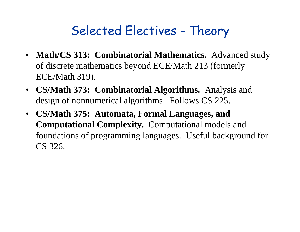### Selected Electives - Theory

- **Math/CS 313: Combinatorial Mathematics.** Advanced study of discrete mathematics beyond ECE/Math 213 (formerly ECE/Math 319).
- **CS/Math 373: Combinatorial Algorithms.** Analysis and design of nonnumerical algorithms. Follows CS 225.
- **CS/Math 375: Automata, Formal Languages, and Computational Complexity.** Computational models and foundations of programming languages. Useful background for CS 326.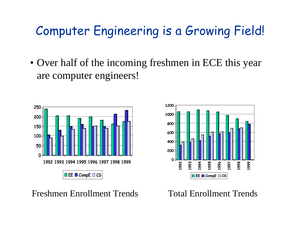### Computer Engineering is a Growing Field!

• Over half of the incoming freshmen in ECE this year are computer engineers!